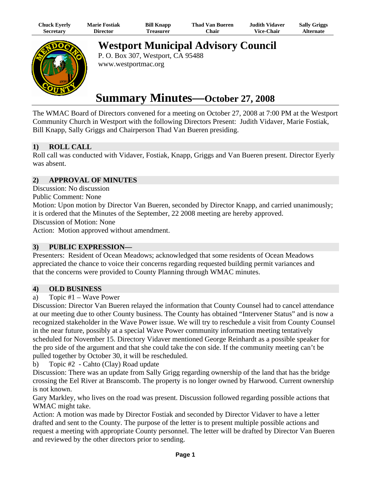| Chuck Eyerly | <b>Marie Fostiak</b> | <b>Bill Knapp</b> | <b>Thad Van Bueren</b> | <b>Judith Vidaver</b> | <b>Sally Griggs</b> |
|--------------|----------------------|-------------------|------------------------|-----------------------|---------------------|
| Secretarv    | Director             | <b>Treasurer</b>  | <b>Chair</b>           | <b>Vice-Chair</b>     | Alternate           |



**Westport Municipal Advisory Council** 

P. O. Box 307, Westport, CA 95488 www.westportmac.org

# **Summary Minutes—October 27, 2008**

The WMAC Board of Directors convened for a meeting on October 27, 2008 at 7:00 PM at the Westport Community Church in Westport with the following Directors Present: Judith Vidaver, Marie Fostiak, Bill Knapp, Sally Griggs and Chairperson Thad Van Bueren presiding.

# **1) ROLL CALL**

Roll call was conducted with Vidaver, Fostiak, Knapp, Griggs and Van Bueren present. Director Eyerly was absent.

#### **2) APPROVAL OF MINUTES**

Discussion: No discussion

Public Comment: None

Motion: Upon motion by Director Van Bueren, seconded by Director Knapp, and carried unanimously; it is ordered that the Minutes of the September, 22 2008 meeting are hereby approved.

Discussion of Motion: None

Action: Motion approved without amendment.

#### **3) PUBLIC EXPRESSION—**

Presenters: Resident of Ocean Meadows; acknowledged that some residents of Ocean Meadows appreciated the chance to voice their concerns regarding requested building permit variances and that the concerns were provided to County Planning through WMAC minutes.

#### **4) OLD BUSINESS**

a) Topic #1 – Wave Power

Discussion: Director Van Bueren relayed the information that County Counsel had to cancel attendance at our meeting due to other County business. The County has obtained "Intervener Status" and is now a recognized stakeholder in the Wave Power issue. We will try to reschedule a visit from County Counsel in the near future, possibly at a special Wave Power community information meeting tentatively scheduled for November 15. Directory Vidaver mentioned George Reinhardt as a possible speaker for the pro side of the argument and that she could take the con side. If the community meeting can't be pulled together by October 30, it will be rescheduled.

b) Topic #2 - Cahto (Clay) Road update

Discussion: There was an update from Sally Grigg regarding ownership of the land that has the bridge crossing the Eel River at Branscomb. The property is no longer owned by Harwood. Current ownership is not known.

Gary Markley, who lives on the road was present. Discussion followed regarding possible actions that WMAC might take.

Action: A motion was made by Director Fostiak and seconded by Director Vidaver to have a letter drafted and sent to the County. The purpose of the letter is to present multiple possible actions and request a meeting with appropriate County personnel. The letter will be drafted by Director Van Bueren and reviewed by the other directors prior to sending.